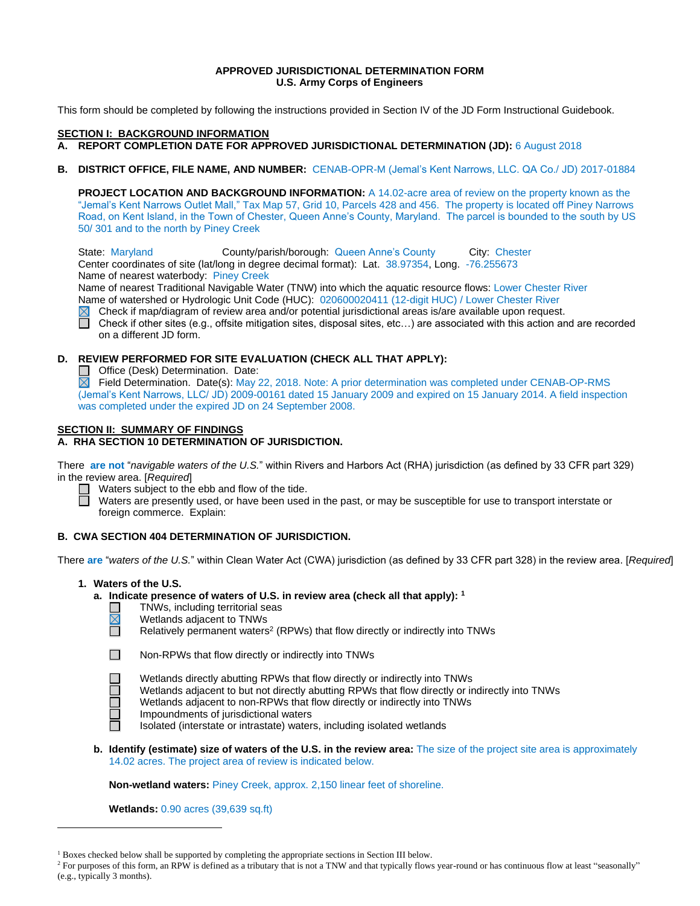#### **APPROVED JURISDICTIONAL DETERMINATION FORM U.S. Army Corps of Engineers**

This form should be completed by following the instructions provided in Section IV of the JD Form Instructional Guidebook.

#### **SECTION I: BACKGROUND INFORMATION**

### **A. REPORT COMPLETION DATE FOR APPROVED JURISDICTIONAL DETERMINATION (JD):** 6 August 2018

**B. DISTRICT OFFICE, FILE NAME, AND NUMBER:** CENAB-OPR-M (Jemal's Kent Narrows, LLC. QA Co./ JD) 2017-01884

**PROJECT LOCATION AND BACKGROUND INFORMATION:** A 14.02-acre area of review on the property known as the "Jemal's Kent Narrows Outlet Mall," Tax Map 57, Grid 10, Parcels 428 and 456. The property is located off Piney Narrows Road, on Kent Island, in the Town of Chester, Queen Anne's County, Maryland. The parcel is bounded to the south by US 50/ 301 and to the north by Piney Creek

State: Maryland County/parish/borough: Queen Anne's County City: Chester Center coordinates of site (lat/long in degree decimal format): Lat. 38.97354, Long. -76.255673 Name of nearest waterbody: Piney Creek

Name of nearest Traditional Navigable Water (TNW) into which the aquatic resource flows: Lower Chester River Name of watershed or Hydrologic Unit Code (HUC): 020600020411 (12-digit HUC) / Lower Chester River

 $\boxtimes$ Check if map/diagram of review area and/or potential jurisdictional areas is/are available upon request.

 $\Box$  Check if other sites (e.g., offsite mitigation sites, disposal sites, etc...) are associated with this action and are recorded on a different JD form.

## **D. REVIEW PERFORMED FOR SITE EVALUATION (CHECK ALL THAT APPLY):**

Office (Desk) Determination. Date:

 $\boxtimes$  Field Determination. Date(s): May 22, 2018. Note: A prior determination was completed under CENAB-OP-RMS (Jemal's Kent Narrows, LLC/ JD) 2009-00161 dated 15 January 2009 and expired on 15 January 2014. A field inspection was completed under the expired JD on 24 September 2008.

## **SECTION II: SUMMARY OF FINDINGS**

**A. RHA SECTION 10 DETERMINATION OF JURISDICTION.**

There **are not** "*navigable waters of the U.S.*" within Rivers and Harbors Act (RHA) jurisdiction (as defined by 33 CFR part 329) in the review area. [*Required*]

 $\Box$  Waters subject to the ebb and flow of the tide. Ħ

Waters are presently used, or have been used in the past, or may be susceptible for use to transport interstate or foreign commerce. Explain:

### **B. CWA SECTION 404 DETERMINATION OF JURISDICTION.**

There **are** "*waters of the U.S.*" within Clean Water Act (CWA) jurisdiction (as defined by 33 CFR part 328) in the review area. [*Required*]

### **1. Waters of the U.S.**

- **a. Indicate presence of waters of U.S. in review area (check all that apply): 1**
	- П TNWs, including territorial seas  $\boxtimes$ 
		- Wetlands adjacent to TNWs
		- Relatively permanent waters<sup>2</sup> (RPWs) that flow directly or indirectly into TNWs

Wetlands directly abutting RPWs that flow directly or indirectly into TNWs

 $\overline{a}$ 

Wetlands adjacent to but not directly abutting RPWs that flow directly or indirectly into TNWs Wetlands adjacent to non-RPWs that flow directly or indirectly into TNWs Impoundments of jurisdictional waters

- Isolated (interstate or intrastate) waters, including isolated wetlands
- **b. Identify (estimate) size of waters of the U.S. in the review area:** The size of the project site area is approximately 14.02 acres. The project area of review is indicated below.

**Non-wetland waters:** Piney Creek, approx. 2,150 linear feet of shoreline.

**Wetlands:** 0.90 acres (39,639 sq.ft)

<sup>&</sup>lt;sup>1</sup> Boxes checked below shall be supported by completing the appropriate sections in Section III below.

<sup>&</sup>lt;sup>2</sup> For purposes of this form, an RPW is defined as a tributary that is not a TNW and that typically flows year-round or has continuous flow at least "seasonally" (e.g., typically 3 months).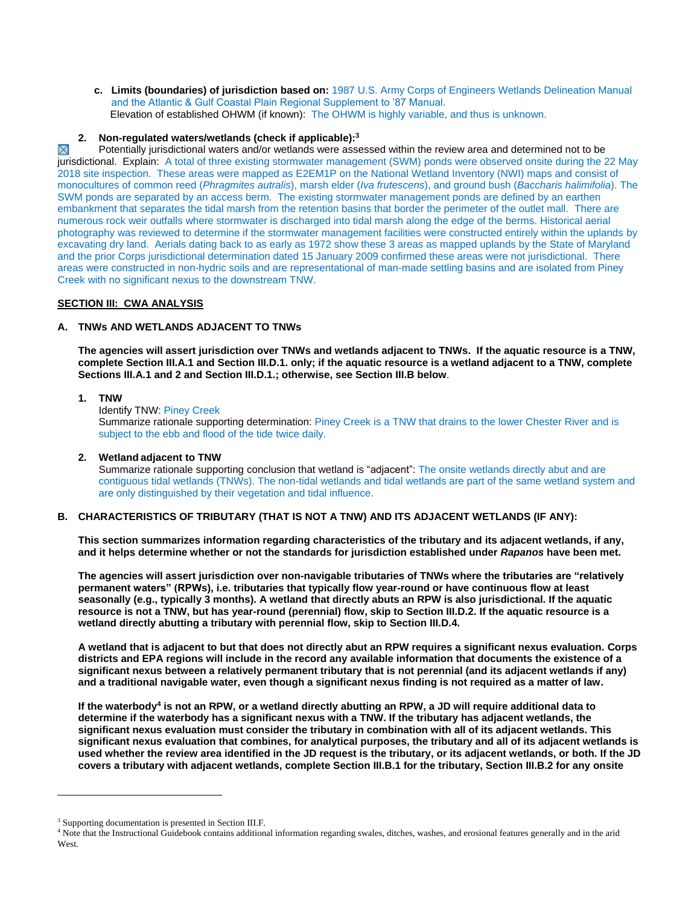**c. Limits (boundaries) of jurisdiction based on:** 1987 U.S. Army Corps of Engineers Wetlands Delineation Manual and the Atlantic & Gulf Coastal Plain Regional Supplement to '87 Manual. Elevation of established OHWM (if known): The OHWM is highly variable, and thus is unknown.

### **2. Non-regulated waters/wetlands (check if applicable): 3**

 $\boxtimes$ Potentially jurisdictional waters and/or wetlands were assessed within the review area and determined not to be jurisdictional. Explain: A total of three existing stormwater management (SWM) ponds were observed onsite during the 22 May 2018 site inspection. These areas were mapped as E2EM1P on the National Wetland Inventory (NWI) maps and consist of monocultures of common reed (*Phragmites autralis*), marsh elder (*Iva frutescens*), and ground bush (*Baccharis halimifolia*). The SWM ponds are separated by an access berm. The existing stormwater management ponds are defined by an earthen embankment that separates the tidal marsh from the retention basins that border the perimeter of the outlet mall. There are numerous rock weir outfalls where stormwater is discharged into tidal marsh along the edge of the berms. Historical aerial photography was reviewed to determine if the stormwater management facilities were constructed entirely within the uplands by excavating dry land. Aerials dating back to as early as 1972 show these 3 areas as mapped uplands by the State of Maryland and the prior Corps jurisdictional determination dated 15 January 2009 confirmed these areas were not jurisdictional. There areas were constructed in non-hydric soils and are representational of man-made settling basins and are isolated from Piney Creek with no significant nexus to the downstream TNW.

## **SECTION III: CWA ANALYSIS**

### **A. TNWs AND WETLANDS ADJACENT TO TNWs**

**The agencies will assert jurisdiction over TNWs and wetlands adjacent to TNWs. If the aquatic resource is a TNW, complete Section III.A.1 and Section III.D.1. only; if the aquatic resource is a wetland adjacent to a TNW, complete Sections III.A.1 and 2 and Section III.D.1.; otherwise, see Section III.B below**.

# **1. TNW**

Identify TNW: Piney Creek

Summarize rationale supporting determination: Piney Creek is a TNW that drains to the lower Chester River and is subject to the ebb and flood of the tide twice daily.

#### **2. Wetland adjacent to TNW**

Summarize rationale supporting conclusion that wetland is "adjacent": The onsite wetlands directly abut and are contiguous tidal wetlands (TNWs). The non-tidal wetlands and tidal wetlands are part of the same wetland system and are only distinguished by their vegetation and tidal influence.

# **B. CHARACTERISTICS OF TRIBUTARY (THAT IS NOT A TNW) AND ITS ADJACENT WETLANDS (IF ANY):**

**This section summarizes information regarding characteristics of the tributary and its adjacent wetlands, if any, and it helps determine whether or not the standards for jurisdiction established under** *Rapanos* **have been met.** 

**The agencies will assert jurisdiction over non-navigable tributaries of TNWs where the tributaries are "relatively permanent waters" (RPWs), i.e. tributaries that typically flow year-round or have continuous flow at least seasonally (e.g., typically 3 months). A wetland that directly abuts an RPW is also jurisdictional. If the aquatic resource is not a TNW, but has year-round (perennial) flow, skip to Section III.D.2. If the aquatic resource is a wetland directly abutting a tributary with perennial flow, skip to Section III.D.4.** 

**A wetland that is adjacent to but that does not directly abut an RPW requires a significant nexus evaluation. Corps districts and EPA regions will include in the record any available information that documents the existence of a significant nexus between a relatively permanent tributary that is not perennial (and its adjacent wetlands if any) and a traditional navigable water, even though a significant nexus finding is not required as a matter of law.**

**If the waterbody<sup>4</sup> is not an RPW, or a wetland directly abutting an RPW, a JD will require additional data to determine if the waterbody has a significant nexus with a TNW. If the tributary has adjacent wetlands, the significant nexus evaluation must consider the tributary in combination with all of its adjacent wetlands. This significant nexus evaluation that combines, for analytical purposes, the tributary and all of its adjacent wetlands is used whether the review area identified in the JD request is the tributary, or its adjacent wetlands, or both. If the JD covers a tributary with adjacent wetlands, complete Section III.B.1 for the tributary, Section III.B.2 for any onsite** 

 $\overline{a}$ 

<sup>3</sup> Supporting documentation is presented in Section III.F.

<sup>4</sup> Note that the Instructional Guidebook contains additional information regarding swales, ditches, washes, and erosional features generally and in the arid West.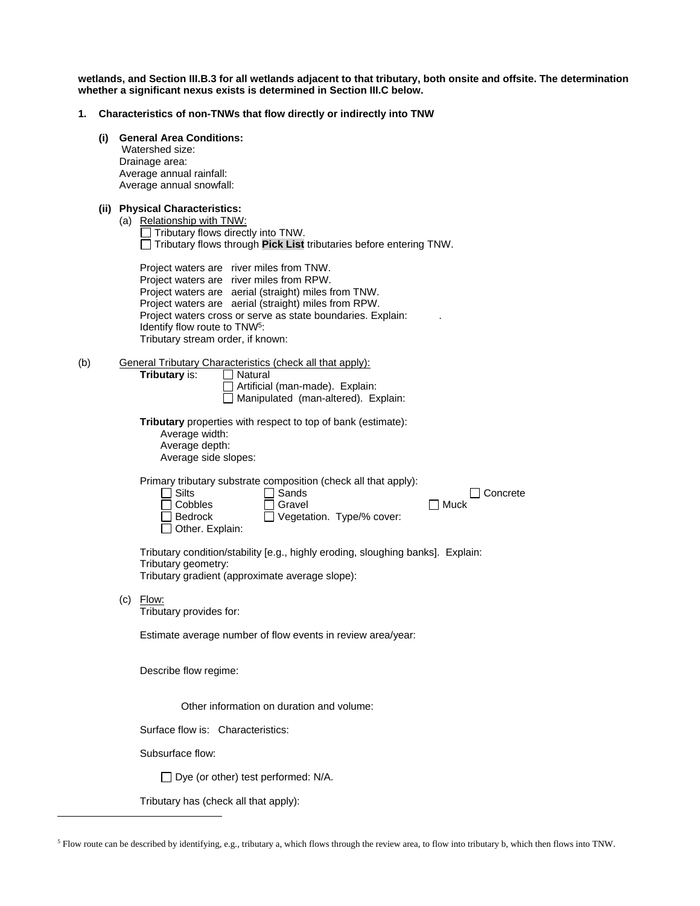**wetlands, and Section III.B.3 for all wetlands adjacent to that tributary, both onsite and offsite. The determination whether a significant nexus exists is determined in Section III.C below.**

- **1. Characteristics of non-TNWs that flow directly or indirectly into TNW**
	- **(i) General Area Conditions:**

 Watershed size: Drainage area: Average annual rainfall: Average annual snowfall:

**(ii) Physical Characteristics:**

| (a) | Relationship with TNW:                    |                                                                                                                                              |
|-----|-------------------------------------------|----------------------------------------------------------------------------------------------------------------------------------------------|
|     | $\Box$ Tributary flows directly into TNW. |                                                                                                                                              |
|     |                                           | $\Box$ Tributary flows through Pick List tributaries before entering TNW.                                                                    |
|     |                                           | Project waters are river miles from TNW.<br>Project waters are river miles from RPW.<br>Project waters are aerial (straight) miles from TNW. |

Project waters are aerial (straight) miles from RPW. Project waters cross or serve as state boundaries. Explain: Identify flow route to TNW<sup>5</sup>: Tributary stream order, if known:

(b) General Tributary Characteristics (check all that apply):

**Tributary** is:

△ Natural<br>△ Artificial (man-made). Explain: Manipulated (man-altered). Explain:

**Tributary** properties with respect to top of bank (estimate): Average width: Average depth: Average side slopes:

Primary tributary substrate composition (check all that apply):

| $\Box$ Silts      | $\Box$ Sands                     | □ Concrete |
|-------------------|----------------------------------|------------|
| $\Box$ Cobbles    | $\Box$ Gravel                    | l Muck     |
| $\Box$ Bedrock    | $\Box$ Vegetation. Type/% cover: |            |
| □ Other. Explain: |                                  |            |

Tributary condition/stability [e.g., highly eroding, sloughing banks]. Explain: Tributary geometry: Tributary gradient (approximate average slope):

(c) Flow:

 $\overline{a}$ 

Tributary provides for:

Estimate average number of flow events in review area/year:

Describe flow regime:

Other information on duration and volume:

Surface flow is: Characteristics:

Subsurface flow:

 $\Box$  Dye (or other) test performed: N/A.

Tributary has (check all that apply):

<sup>5</sup> Flow route can be described by identifying, e.g., tributary a, which flows through the review area, to flow into tributary b, which then flows into TNW.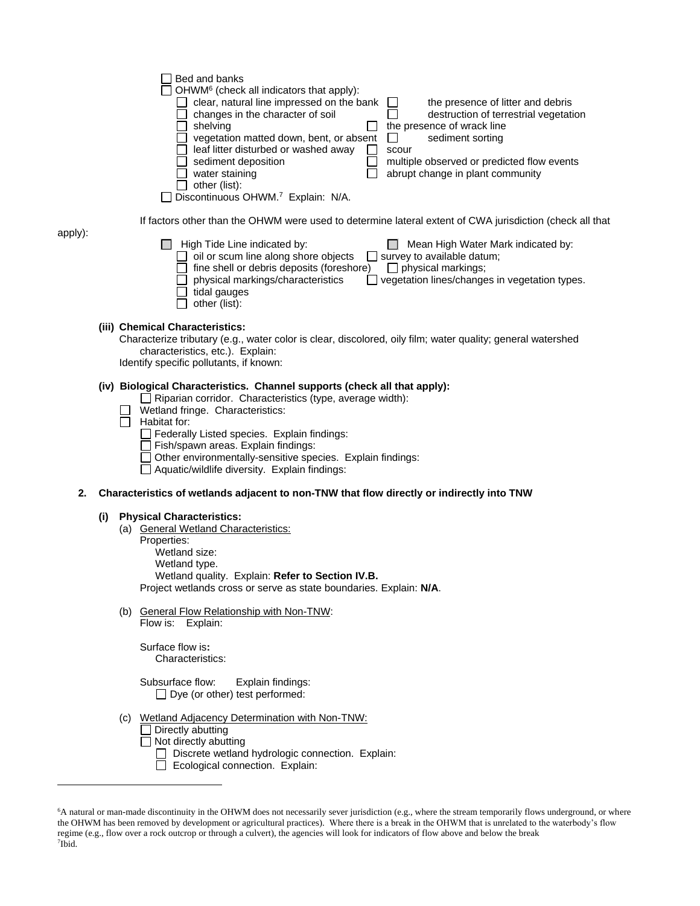| Bed and banks<br>OHWM <sup>6</sup> (check all indicators that apply):<br>clear, natural line impressed on the bank<br>the presence of litter and debris<br>changes in the character of soil<br>destruction of terrestrial vegetation<br>the presence of wrack line<br>shelving<br>sediment sorting<br>vegetation matted down, bent, or absent<br>$\mathsf{L}$<br>leaf litter disturbed or washed away<br>scour<br>sediment deposition<br>multiple observed or predicted flow events<br>water staining<br>abrupt change in plant community<br>other (list):<br>Discontinuous OHWM. <sup>7</sup> Explain: N/A.<br>If factors other than the OHWM were used to determine lateral extent of CWA jurisdiction (check all that<br>High Tide Line indicated by:<br>Mean High Water Mark indicated by:<br>oil or scum line along shore objects<br><u>Survey</u> to available datum;<br>fine shell or debris deposits (foreshore)<br>$\Box$ physical markings;<br>physical markings/characteristics<br>vegetation lines/changes in vegetation types.<br>tidal gauges<br>other (list): |
|------------------------------------------------------------------------------------------------------------------------------------------------------------------------------------------------------------------------------------------------------------------------------------------------------------------------------------------------------------------------------------------------------------------------------------------------------------------------------------------------------------------------------------------------------------------------------------------------------------------------------------------------------------------------------------------------------------------------------------------------------------------------------------------------------------------------------------------------------------------------------------------------------------------------------------------------------------------------------------------------------------------------------------------------------------------------------|
| (iii) Chemical Characteristics:<br>Characterize tributary (e.g., water color is clear, discolored, oily film; water quality; general watershed<br>characteristics, etc.). Explain:<br>Identify specific pollutants, if known:                                                                                                                                                                                                                                                                                                                                                                                                                                                                                                                                                                                                                                                                                                                                                                                                                                                |
| (iv) Biological Characteristics. Channel supports (check all that apply):<br>$\Box$ Riparian corridor. Characteristics (type, average width):<br>Wetland fringe. Characteristics:<br>Habitat for:<br>Federally Listed species. Explain findings:                                                                                                                                                                                                                                                                                                                                                                                                                                                                                                                                                                                                                                                                                                                                                                                                                             |

- Fish/spawn areas. Explain findings:
- Other environmentally-sensitive species. Explain findings:
- Aquatic/wildlife diversity. Explain findings:

#### **2. Characteristics of wetlands adjacent to non-TNW that flow directly or indirectly into TNW**

#### **(i) Physical Characteristics:**

apply):

 $\overline{a}$ 

- (a) General Wetland Characteristics:
- Properties: Wetland size: Wetland type. Wetland quality. Explain: **Refer to Section IV.B.** Project wetlands cross or serve as state boundaries. Explain: **N/A**.
- (b) General Flow Relationship with Non-TNW:

Flow is: Explain:

Surface flow is**:**  Characteristics:

Subsurface flow:Explain findings:  $\Box$  Dye (or other) test performed:

- (c) Wetland Adjacency Determination with Non-TNW:
	- $\Box$  Directly abutting
	- $\Box$  Not directly abutting
		- Discrete wetland hydrologic connection. Explain:
		- Ecological connection. Explain:

<sup>&</sup>lt;sup>6</sup>A natural or man-made discontinuity in the OHWM does not necessarily sever jurisdiction (e.g., where the stream temporarily flows underground, or where the OHWM has been removed by development or agricultural practices). Where there is a break in the OHWM that is unrelated to the waterbody's flow regime (e.g., flow over a rock outcrop or through a culvert), the agencies will look for indicators of flow above and below the break 7 Ibid.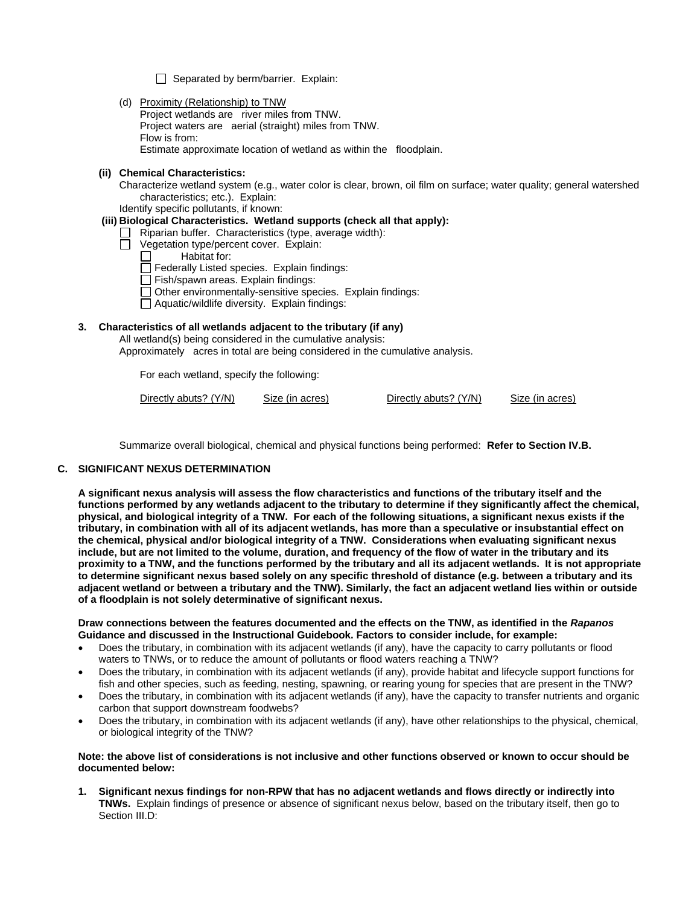$\Box$  Separated by berm/barrier. Explain:

(d) Proximity (Relationship) to TNW Project wetlands are river miles from TNW. Project waters are aerial (straight) miles from TNW. Flow is from: Estimate approximate location of wetland as within the floodplain.

### **(ii) Chemical Characteristics:**

Characterize wetland system (e.g., water color is clear, brown, oil film on surface; water quality; general watershed characteristics; etc.). Explain:

Identify specific pollutants, if known:

## **(iii) Biological Characteristics. Wetland supports (check all that apply):**

- $\Box$  Riparian buffer. Characteristics (type, average width):
- $\Box$  Vegetation type/percent cover. Explain:<br>  $\Box$  Habitat for:
	- Habitat for:
	- $\Box$  Federally Listed species. Explain findings:
	- $\Box$  Fish/spawn areas. Explain findings:
	- $\Box$  Other environmentally-sensitive species. Explain findings:
	- Aquatic/wildlife diversity. Explain findings:

### **3. Characteristics of all wetlands adjacent to the tributary (if any)**

All wetland(s) being considered in the cumulative analysis: Approximately acres in total are being considered in the cumulative analysis.

For each wetland, specify the following:

| Directly abuts? (Y/N) | Size (in acres) | Directly abuts? (Y/N) | Size (in acres) |
|-----------------------|-----------------|-----------------------|-----------------|
|                       |                 |                       |                 |

Summarize overall biological, chemical and physical functions being performed: **Refer to Section IV.B.**

### **C. SIGNIFICANT NEXUS DETERMINATION**

**A significant nexus analysis will assess the flow characteristics and functions of the tributary itself and the functions performed by any wetlands adjacent to the tributary to determine if they significantly affect the chemical, physical, and biological integrity of a TNW. For each of the following situations, a significant nexus exists if the tributary, in combination with all of its adjacent wetlands, has more than a speculative or insubstantial effect on the chemical, physical and/or biological integrity of a TNW. Considerations when evaluating significant nexus include, but are not limited to the volume, duration, and frequency of the flow of water in the tributary and its proximity to a TNW, and the functions performed by the tributary and all its adjacent wetlands. It is not appropriate to determine significant nexus based solely on any specific threshold of distance (e.g. between a tributary and its adjacent wetland or between a tributary and the TNW). Similarly, the fact an adjacent wetland lies within or outside of a floodplain is not solely determinative of significant nexus.** 

#### **Draw connections between the features documented and the effects on the TNW, as identified in the** *Rapanos* **Guidance and discussed in the Instructional Guidebook. Factors to consider include, for example:**

- Does the tributary, in combination with its adjacent wetlands (if any), have the capacity to carry pollutants or flood waters to TNWs, or to reduce the amount of pollutants or flood waters reaching a TNW?
- Does the tributary, in combination with its adjacent wetlands (if any), provide habitat and lifecycle support functions for fish and other species, such as feeding, nesting, spawning, or rearing young for species that are present in the TNW?
- Does the tributary, in combination with its adjacent wetlands (if any), have the capacity to transfer nutrients and organic carbon that support downstream foodwebs?
- Does the tributary, in combination with its adjacent wetlands (if any), have other relationships to the physical, chemical, or biological integrity of the TNW?

#### **Note: the above list of considerations is not inclusive and other functions observed or known to occur should be documented below:**

**1. Significant nexus findings for non-RPW that has no adjacent wetlands and flows directly or indirectly into TNWs.** Explain findings of presence or absence of significant nexus below, based on the tributary itself, then go to Section III.D: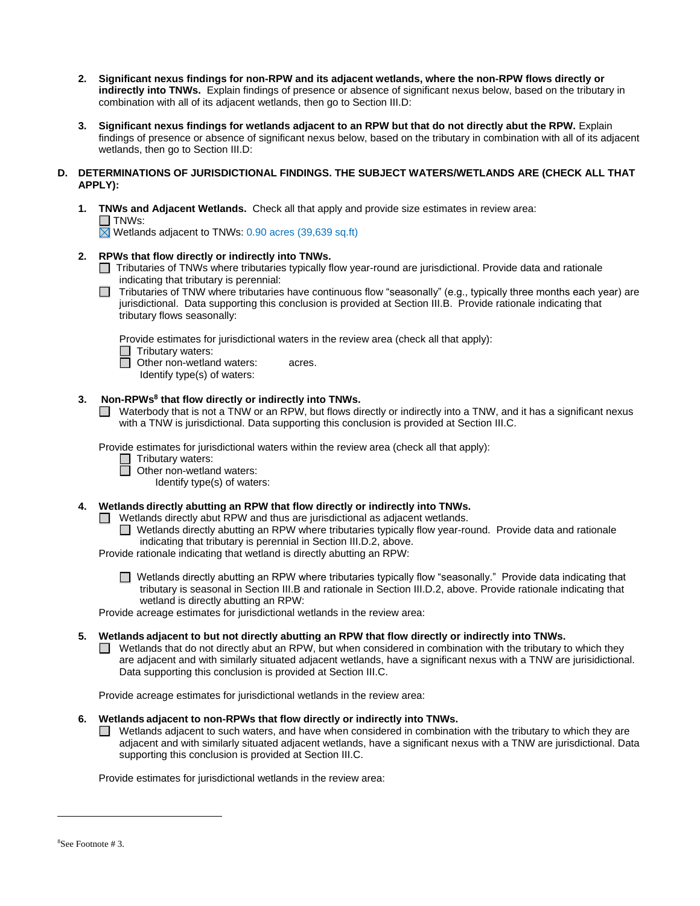- **2. Significant nexus findings for non-RPW and its adjacent wetlands, where the non-RPW flows directly or indirectly into TNWs.** Explain findings of presence or absence of significant nexus below, based on the tributary in combination with all of its adjacent wetlands, then go to Section III.D:
- **3. Significant nexus findings for wetlands adjacent to an RPW but that do not directly abut the RPW.** Explain findings of presence or absence of significant nexus below, based on the tributary in combination with all of its adjacent wetlands, then go to Section III.D:

### **D. DETERMINATIONS OF JURISDICTIONAL FINDINGS. THE SUBJECT WATERS/WETLANDS ARE (CHECK ALL THAT APPLY):**

**1. TNWs and Adjacent Wetlands.** Check all that apply and provide size estimates in review area:  $\Box$  TNWs:

 $\boxtimes$  Wetlands adjacent to TNWs: 0.90 acres (39,639 sq.ft)

## **2. RPWs that flow directly or indirectly into TNWs.**

- Tributaries of TNWs where tributaries typically flow year-round are jurisdictional. Provide data and rationale indicating that tributary is perennial:
- $\Box$  Tributaries of TNW where tributaries have continuous flow "seasonally" (e.g., typically three months each year) are jurisdictional. Data supporting this conclusion is provided at Section III.B. Provide rationale indicating that tributary flows seasonally:

Provide estimates for jurisdictional waters in the review area (check all that apply):

 $\Box$  Tributary waters:

**D** Other non-wetland waters: acres.

Identify type(s) of waters:

### **3. Non-RPWs<sup>8</sup> that flow directly or indirectly into TNWs.**

■ Waterbody that is not a TNW or an RPW, but flows directly or indirectly into a TNW, and it has a significant nexus with a TNW is jurisdictional. Data supporting this conclusion is provided at Section III.C.

Provide estimates for jurisdictional waters within the review area (check all that apply):

- □ Tributary waters:<br>□ Other non-wetlan
	- **Other non-wetland waters:**

Identify type(s) of waters:

**4. Wetlands directly abutting an RPW that flow directly or indirectly into TNWs.** 

- $\Box$  Wetlands directly abut RPW and thus are jurisdictional as adjacent wetlands.
	- Wetlands directly abutting an RPW where tributaries typically flow year-round. Provide data and rationale indicating that tributary is perennial in Section III.D.2, above.

Provide rationale indicating that wetland is directly abutting an RPW:

■ Wetlands directly abutting an RPW where tributaries typically flow "seasonally." Provide data indicating that tributary is seasonal in Section III.B and rationale in Section III.D.2, above. Provide rationale indicating that wetland is directly abutting an RPW:

Provide acreage estimates for jurisdictional wetlands in the review area:

### **5. Wetlands adjacent to but not directly abutting an RPW that flow directly or indirectly into TNWs.**

 $\Box$  Wetlands that do not directly abut an RPW, but when considered in combination with the tributary to which they are adjacent and with similarly situated adjacent wetlands, have a significant nexus with a TNW are jurisidictional. Data supporting this conclusion is provided at Section III.C.

Provide acreage estimates for jurisdictional wetlands in the review area:

## **6. Wetlands adjacent to non-RPWs that flow directly or indirectly into TNWs.**

 $\Box$  Wetlands adjacent to such waters, and have when considered in combination with the tributary to which they are adjacent and with similarly situated adjacent wetlands, have a significant nexus with a TNW are jurisdictional. Data supporting this conclusion is provided at Section III.C.

Provide estimates for jurisdictional wetlands in the review area:

 $\overline{a}$ 

<sup>8</sup>See Footnote # 3.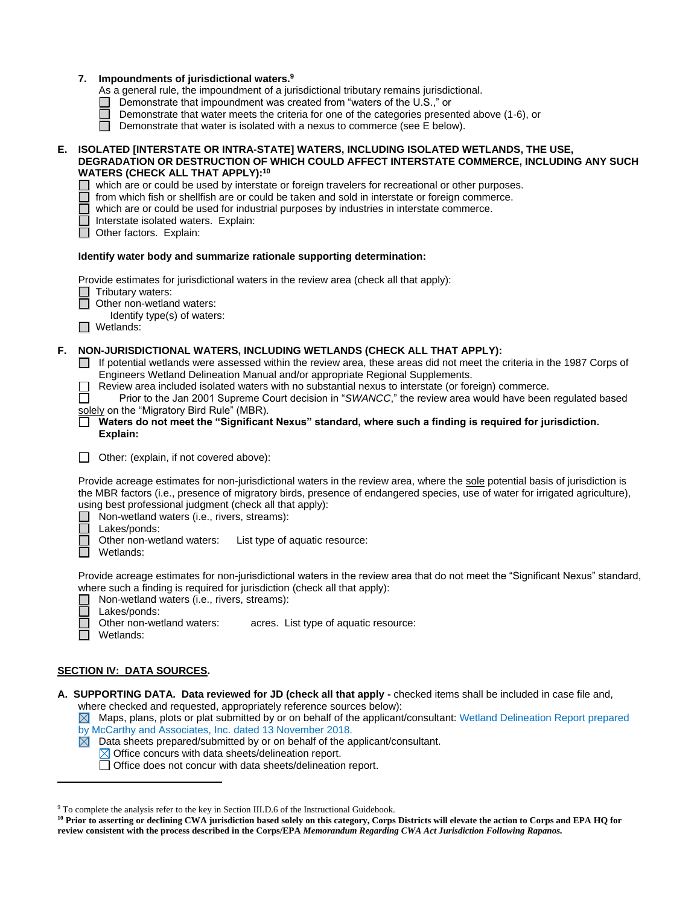|    | 7. Impoundments of jurisdictional waters. <sup>9</sup><br>As a general rule, the impoundment of a jurisdictional tributary remains jurisdictional.<br>Demonstrate that impoundment was created from "waters of the U.S.," or<br>Demonstrate that water meets the criteria for one of the categories presented above (1-6), or<br>Demonstrate that water is isolated with a nexus to commerce (see E below).<br>$\Box$                                                                                                                                                                                                                                                     |
|----|---------------------------------------------------------------------------------------------------------------------------------------------------------------------------------------------------------------------------------------------------------------------------------------------------------------------------------------------------------------------------------------------------------------------------------------------------------------------------------------------------------------------------------------------------------------------------------------------------------------------------------------------------------------------------|
| Е. | ISOLATED [INTERSTATE OR INTRA-STATE] WATERS, INCLUDING ISOLATED WETLANDS, THE USE,<br>DEGRADATION OR DESTRUCTION OF WHICH COULD AFFECT INTERSTATE COMMERCE, INCLUDING ANY SUCH<br><b>WATERS (CHECK ALL THAT APPLY):10</b><br>which are or could be used by interstate or foreign travelers for recreational or other purposes.<br>from which fish or shellfish are or could be taken and sold in interstate or foreign commerce.<br>which are or could be used for industrial purposes by industries in interstate commerce.<br>Interstate isolated waters. Explain:<br>Other factors. Explain:                                                                           |
|    | Identify water body and summarize rationale supporting determination:                                                                                                                                                                                                                                                                                                                                                                                                                                                                                                                                                                                                     |
|    | Provide estimates for jurisdictional waters in the review area (check all that apply):<br>Tributary waters:<br>Other non-wetland waters:<br>Identify type(s) of waters:<br>$\Box$ Wetlands:                                                                                                                                                                                                                                                                                                                                                                                                                                                                               |
| F. | NON-JURISDICTIONAL WATERS, INCLUDING WETLANDS (CHECK ALL THAT APPLY):<br>If potential wetlands were assessed within the review area, these areas did not meet the criteria in the 1987 Corps of<br>Engineers Wetland Delineation Manual and/or appropriate Regional Supplements.<br>Review area included isolated waters with no substantial nexus to interstate (or foreign) commerce.<br>Prior to the Jan 2001 Supreme Court decision in "SWANCC," the review area would have been regulated based<br>solely on the "Migratory Bird Rule" (MBR).<br>Waters do not meet the "Significant Nexus" standard, where such a finding is required for jurisdiction.<br>Explain: |
|    | Other: (explain, if not covered above):<br>$\perp$                                                                                                                                                                                                                                                                                                                                                                                                                                                                                                                                                                                                                        |
|    | Provide acreage estimates for non-jurisdictional waters in the review area, where the sole potential basis of jurisdiction is<br>the MBR factors (i.e., presence of migratory birds, presence of endangered species, use of water for irrigated agriculture),<br>using best professional judgment (check all that apply):<br>Non-wetland waters (i.e., rivers, streams):<br>Lakes/ponds:<br>Other non-wetland waters:<br>List type of aquatic resource:<br>Wetlands:                                                                                                                                                                                                      |
|    | Provide acreage estimates for non-jurisdictional waters in the review area that do not meet the "Significant Nexus" standard,<br>where such a finding is required for jurisdiction (check all that apply):<br>Non-wetland waters (i.e., rivers, streams):<br>Lakes/ponds:                                                                                                                                                                                                                                                                                                                                                                                                 |
|    | Other non-wetland waters:<br>acres. List type of aquatic resource:<br>Wetlands:                                                                                                                                                                                                                                                                                                                                                                                                                                                                                                                                                                                           |

## **SECTION IV: DATA SOURCES.**

 $\overline{a}$ 

**A. SUPPORTING DATA. Data reviewed for JD (check all that apply -** checked items shall be included in case file and, where checked and requested, appropriately reference sources below):

 $\boxtimes$  Maps, plans, plots or plat submitted by or on behalf of the applicant/consultant: Wetland Delineation Report prepared by McCarthy and Associates, Inc. dated 13 November 2018.<br> **X** Data sheets prepared/submitted by or on behalf of the ap

- Data sheets prepared/submitted by or on behalf of the applicant/consultant.
	- $\boxtimes$  Office concurs with data sheets/delineation report.

Office does not concur with data sheets/delineation report.

<sup>9</sup> To complete the analysis refer to the key in Section III.D.6 of the Instructional Guidebook.

**<sup>10</sup> Prior to asserting or declining CWA jurisdiction based solely on this category, Corps Districts will elevate the action to Corps and EPA HQ for review consistent with the process described in the Corps/EPA** *Memorandum Regarding CWA Act Jurisdiction Following Rapanos.*